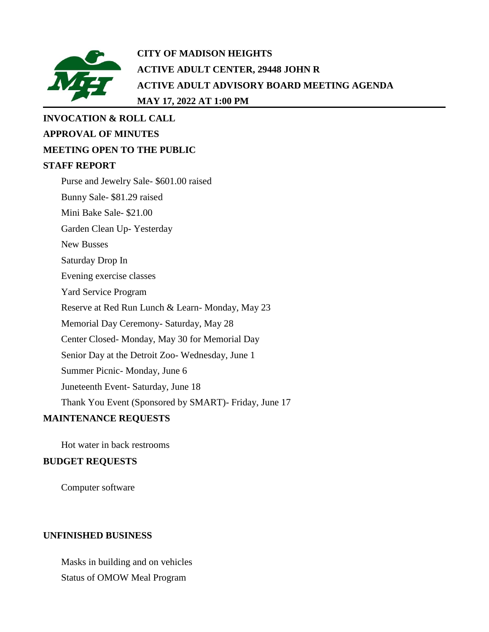

## **CITY OF MADISON HEIGHTS ACTIVE ADULT CENTER, 29448 JOHN R ACTIVE ADULT ADVISORY BOARD MEETING AGENDA MAY 17, 2022 AT 1:00 PM**

# **INVOCATION & ROLL CALL APPROVAL OF MINUTES MEETING OPEN TO THE PUBLIC STAFF REPORT** Purse and Jewelry Sale- \$601.00 raised Bunny Sale- \$81.29 raised Mini Bake Sale- \$21.00 Garden Clean Up- Yesterday New Busses Saturday Drop In Evening exercise classes Yard Service Program Reserve at Red Run Lunch & Learn- Monday, May 23 Memorial Day Ceremony- Saturday, May 28 Center Closed- Monday, May 30 for Memorial Day Senior Day at the Detroit Zoo- Wednesday, June 1 Summer Picnic- Monday, June 6 Juneteenth Event- Saturday, June 18 Thank You Event (Sponsored by SMART)- Friday, June 17

### **MAINTENANCE REQUESTS**

Hot water in back restrooms

#### **BUDGET REQUESTS**

Computer software

#### **UNFINISHED BUSINESS**

Masks in building and on vehicles Status of OMOW Meal Program